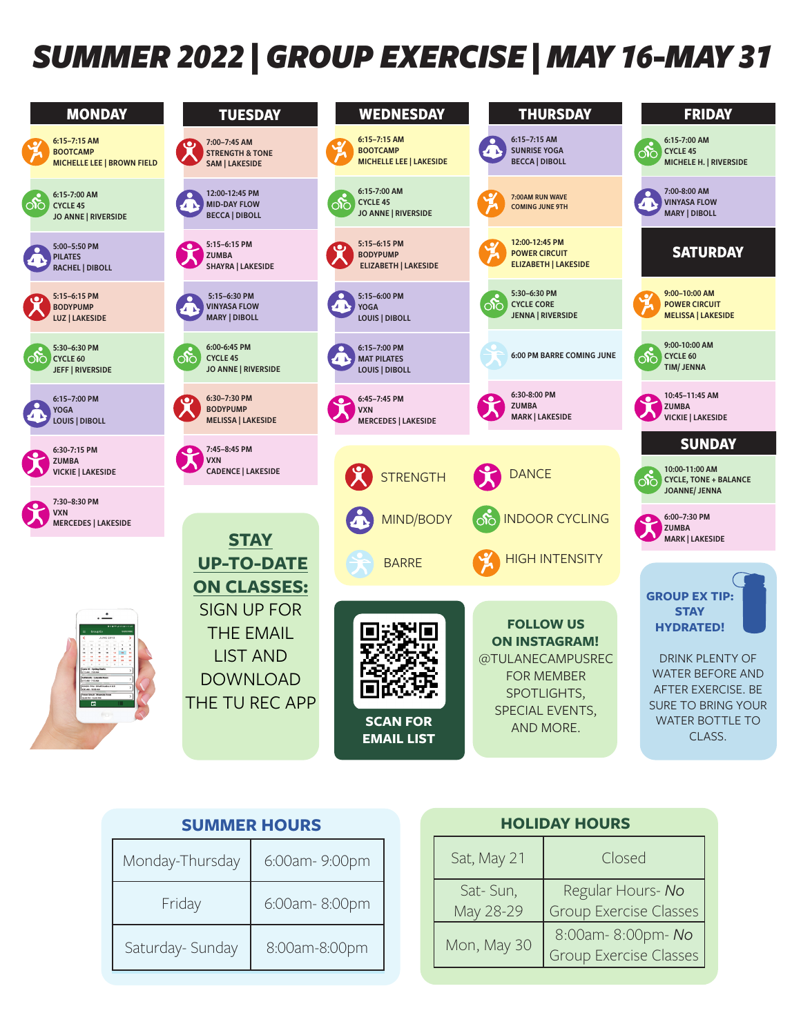## *SUMMER 2022 | GROUP EXERCISE | MAY 16-MAY 31*

| <b>MONDAY</b>                                                             | <b>TUESDAY</b>                                                                                                       | <b>WEDNESDAY</b>                                                            | <b>THURSDAY</b>                                                                                                                  | <b>FRIDAY</b>                                                                                                                                                                      |
|---------------------------------------------------------------------------|----------------------------------------------------------------------------------------------------------------------|-----------------------------------------------------------------------------|----------------------------------------------------------------------------------------------------------------------------------|------------------------------------------------------------------------------------------------------------------------------------------------------------------------------------|
| 6:15-7:15 AM<br><b>BOOTCAMP</b><br><b>MICHELLE LEE   BROWN FIELD</b>      | 7:00-7:45 AM<br><b>STRENGTH &amp; TONE</b><br><b>SAM   LAKESIDE</b>                                                  | 6:15-7:15 AM<br><b>BOOTCAMP</b><br><b>MICHELLE LEE   LAKESIDE</b>           | 6:15-7:15 AM<br><b>SUNRISE YOGA</b><br>2 N<br><b>BECCA   DIBOLL</b>                                                              | 6:15-7:00 AM<br>$\infty$<br><b>CYCLE 45</b><br>MICHELE H.   RIVERSIDE                                                                                                              |
| 6:15-7:00 AM<br>$\infty$<br><b>CYCLE 45</b><br><b>JO ANNE   RIVERSIDE</b> | 12:00-12:45 PM<br><b>MID-DAY FLOW</b><br><b>BECCA   DIBOLL</b>                                                       | 6:15-7:00 AM<br>$\infty$<br><b>CYCLE 45</b><br><b>JO ANNE   RIVERSIDE</b>   | 7:00AM RUN WAVE<br><b>COMING JUNE 9TH</b>                                                                                        | 7:00-8:00 AM<br><b>VINYASA FLOW</b><br><b>MARY   DIBOLL</b>                                                                                                                        |
| 5:00-5:50 PM<br><b>PILATES</b><br><b>RACHEL   DIBOLL</b>                  | 5:15-6:15 PM<br>$\bullet$ .<br><b>ZUMBA</b><br>SHAYRA   LAKESIDE                                                     | 5:15-6:15 PM<br>$\bullet$<br><b>BODYPUMP</b><br><b>ELIZABETH   LAKESIDE</b> | 12:00-12:45 PM<br><b>POWER CIRCUIT</b><br><b>ELIZABETH   LAKESIDE</b>                                                            | <b>SATURDAY</b>                                                                                                                                                                    |
| 5:15-6:15 PM<br><b>BODYPUMP</b><br>LUZ   LAKESIDE                         | 5:15-6:30 PM<br><b>VINYASA FLOW</b><br><b>MARY   DIBOLL</b>                                                          | 5:15-6:00 PM<br>YOGA<br>LOUIS   DIBOLL                                      | 5:30-6:30 PM<br>$\infty$<br><b>CYCLE CORE</b><br><b>JENNA   RIVERSIDE</b>                                                        | 9:00-10:00 AM<br><b>POWER CIRCUIT</b><br><b>MELISSA   LAKESIDE</b>                                                                                                                 |
| 5:30-6:30 PM<br>CYCLE 60<br><b>JEFF   RIVERSIDE</b>                       | 6:00-6:45 PM<br>ුදු<br><b>CYCLE 45</b><br><b>JO ANNE   RIVERSIDE</b>                                                 | 6:15-7:00 PM<br><b>MAT PILATES</b><br><b>LOUIS   DIBOLL</b>                 | 6:00 PM BARRE COMING JUNE                                                                                                        | 9:00-10:00 AM<br>රු<br>CYCLE 60<br><b>TIM/JENNA</b>                                                                                                                                |
| 6:15-7:00 PM<br><b>YOGA</b><br><b>LOUIS   DIBOLL</b>                      | 6:30-7:30 PM<br>ری<br><b>BODYPUMP</b><br><b>MELISSA   LAKESIDE</b>                                                   | 6:45-7:45 PM<br><b>VXN</b><br><b>MERCEDES   LAKESIDE</b>                    | 6:30-8:00 PM<br>●.<br><b>ZUMBA</b><br><b>MARK   LAKESIDE</b>                                                                     | 10:45-11:45 AM<br>$\bullet$<br><b>ZUMBA</b><br><b>VICKIE   LAKESIDE</b>                                                                                                            |
| 6:30-7:15 PM                                                              | 7:45-8:45 PM<br>$\bullet$                                                                                            |                                                                             |                                                                                                                                  | <b>SUNDAY</b>                                                                                                                                                                      |
| <b>ZUMBA</b><br><b>VICKIE   LAKESIDE</b>                                  | <b>VXN</b><br><b>CADENCE   LAKESIDE</b>                                                                              | <b>STRENGTH</b>                                                             | <b>DANCE</b>                                                                                                                     | 10:00-11:00 AM<br>ාිර<br><b>CYCLE, TONE + BALANCE</b><br><b>JOANNE/ JENNA</b>                                                                                                      |
| 7:30-8:30 PM<br><b>VXN</b><br><b>MERCEDES   LAKESIDE</b>                  | <b>STAY</b>                                                                                                          | MIND/BODY                                                                   | <b>INDOOR CYCLING</b><br>ြက်                                                                                                     | 6:00-7:30 PM<br><b>ZUMBA</b><br><b>MARK   LAKESIDE</b>                                                                                                                             |
|                                                                           | <b>UP-TO-DATE</b>                                                                                                    | <b>BARRE</b>                                                                | <b>HIGH INTENSITY</b>                                                                                                            |                                                                                                                                                                                    |
| 曲                                                                         | <b>ON CLASSES:</b><br><b>SIGN UP FOR</b><br><b>THE EMAIL</b><br><b>LIST AND</b><br><b>DOWNLOAD</b><br>THE TU REC APP | <b>SCAN FOR</b>                                                             | <b>FOLLOW US</b><br><b>ON INSTAGRAM!</b><br>@TULANECAMPUSREC<br><b>FOR MEMBER</b><br>SPOTLIGHTS,<br>SPECIAL EVENTS,<br>AND MORE. | <b>GROUP EX TIP:</b><br><b>STAY</b><br><b>HYDRATED!</b><br>DRINK PLENTY OF<br><b>WATER BEFORE AND</b><br>AFTER EXERCISE. BE<br><b>SURE TO BRING YOUR</b><br><b>WATER BOTTLE TO</b> |
|                                                                           |                                                                                                                      | <b>EMAIL LIST</b>                                                           |                                                                                                                                  | CLASS.                                                                                                                                                                             |

|                  | <b>SUMMER HOURS</b> |  |                       | <b>HOLIDAY HOURS</b>             |
|------------------|---------------------|--|-----------------------|----------------------------------|
| Monday-Thursday  | 6:00am-9:00pm       |  | Sat, May 21           | Clos                             |
| Friday           | 6:00am-8:00pm       |  | Sat-Sun,<br>May 28-29 | Regular Ho<br><b>Group Exerc</b> |
| Saturday- Sunday | 8:00am-8:00pm       |  | Mon, May 30           | 8:00am-8:0<br><b>Group Exerc</b> |

|                       | <b>HOLIDAY HOURS</b>                               |
|-----------------------|----------------------------------------------------|
| Sat, May 21           | Closed                                             |
| Sat-Sun,<br>May 28-29 | Regular Hours- No<br><b>Group Exercise Classes</b> |
| Mon, May 30           | 8:00am-8:00pm-No<br>Group Exercise Classes         |